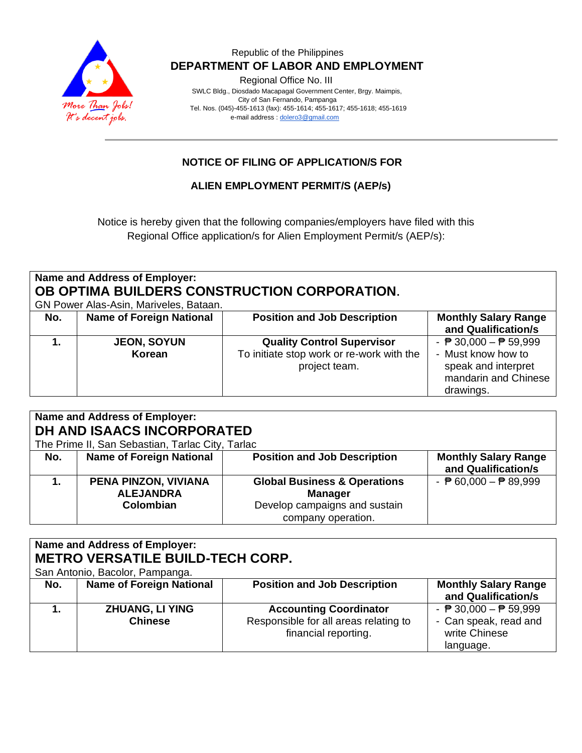

### Republic of the Philippines  **DEPARTMENT OF LABOR AND EMPLOYMENT**

Regional Office No. III

 SWLC Bldg., Diosdado Macapagal Government Center, Brgy. Maimpis, City of San Fernando, Pampanga Tel. Nos. (045)-455-1613 (fax): 455-1614; 455-1617; 455-1618; 455-1619 e-mail address [: dolero3@gmail.com](mailto:dolero3@gmail.com)

### **NOTICE OF FILING OF APPLICATION/S FOR**

**ALIEN EMPLOYMENT PERMIT/S (AEP/s)**

Notice is hereby given that the following companies/employers have filed with this Regional Office application/s for Alien Employment Permit/s (AEP/s):

| Name and Address of Employer:<br>OB OPTIMA BUILDERS CONSTRUCTION CORPORATION.<br>GN Power Alas-Asin, Mariveles, Bataan. |                          |                                           |                                                 |
|-------------------------------------------------------------------------------------------------------------------------|--------------------------|-------------------------------------------|-------------------------------------------------|
| No.                                                                                                                     | Name of Foreign National | <b>Position and Job Description</b>       | <b>Monthly Salary Range</b>                     |
|                                                                                                                         |                          |                                           | and Qualification/s                             |
|                                                                                                                         | <b>JEON, SOYUN</b>       | <b>Quality Control Supervisor</b>         | - $\overline{P}$ 30,000 - $\overline{P}$ 59,999 |
|                                                                                                                         | Korean                   | To initiate stop work or re-work with the | - Must know how to                              |
|                                                                                                                         |                          | project team.                             | speak and interpret                             |
|                                                                                                                         |                          |                                           | mandarin and Chinese                            |
|                                                                                                                         |                          |                                           | drawings.                                       |

| Name and Address of Employer:<br>DH AND ISAACS INCORPORATED<br>The Prime II, San Sebastian, Tarlac City, Tarlac |                                                       |                                                                                                                  |                                                    |
|-----------------------------------------------------------------------------------------------------------------|-------------------------------------------------------|------------------------------------------------------------------------------------------------------------------|----------------------------------------------------|
| No.                                                                                                             | <b>Name of Foreign National</b>                       | <b>Position and Job Description</b>                                                                              | <b>Monthly Salary Range</b><br>and Qualification/s |
|                                                                                                                 | PENA PINZON, VIVIANA<br><b>ALEJANDRA</b><br>Colombian | <b>Global Business &amp; Operations</b><br><b>Manager</b><br>Develop campaigns and sustain<br>company operation. | - $\overline{P}$ 60,000 - $\overline{P}$ 89,999    |

# **Name and Address of Employer: METRO VERSATILE BUILD-TECH CORP.**

San Antonio, Bacolor, Pampanga.

| <u>oan mwino, baoolor, i ampanga.</u> |                                          |                                                                                                |                                                                                                        |
|---------------------------------------|------------------------------------------|------------------------------------------------------------------------------------------------|--------------------------------------------------------------------------------------------------------|
| No.                                   | <b>Name of Foreign National</b>          | <b>Position and Job Description</b>                                                            | <b>Monthly Salary Range</b><br>and Qualification/s                                                     |
|                                       | <b>ZHUANG, LI YING</b><br><b>Chinese</b> | <b>Accounting Coordinator</b><br>Responsible for all areas relating to<br>financial reporting. | - $\overline{P}$ 30,000 - $\overline{P}$ 59,999<br>- Can speak, read and<br>write Chinese<br>language. |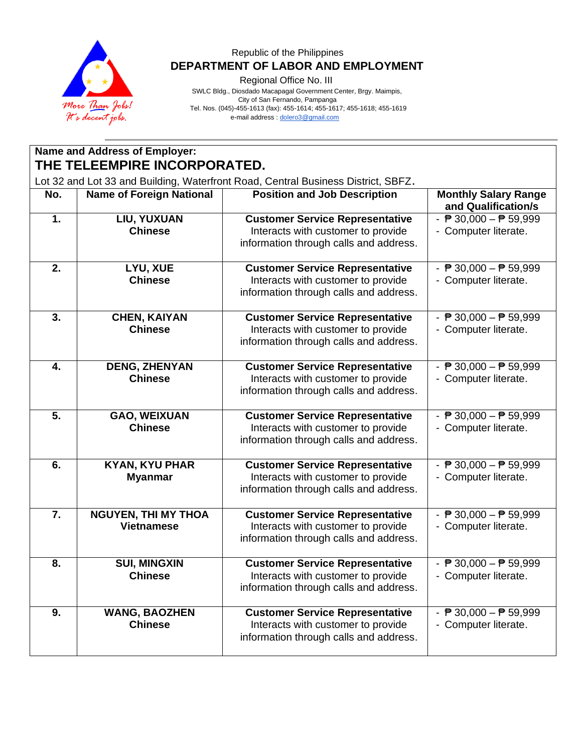

### Republic of the Philippines  **DEPARTMENT OF LABOR AND EMPLOYMENT**

Regional Office No. III

 SWLC Bldg., Diosdado Macapagal Government Center, Brgy. Maimpis, City of San Fernando, Pampanga Tel. Nos. (045)-455-1613 (fax): 455-1614; 455-1617; 455-1618; 455-1619 e-mail address [: dolero3@gmail.com](mailto:dolero3@gmail.com)

| <b>Name and Address of Employer:</b><br>THE TELEEMPIRE INCORPORATED.              |                                                 |                                                                                                                        |                                                                         |
|-----------------------------------------------------------------------------------|-------------------------------------------------|------------------------------------------------------------------------------------------------------------------------|-------------------------------------------------------------------------|
| Lot 32 and Lot 33 and Building, Waterfront Road, Central Business District, SBFZ. |                                                 |                                                                                                                        |                                                                         |
| No.                                                                               | <b>Name of Foreign National</b>                 | <b>Position and Job Description</b>                                                                                    | <b>Monthly Salary Range</b><br>and Qualification/s                      |
| 1.                                                                                | LIU, YUXUAN<br><b>Chinese</b>                   | <b>Customer Service Representative</b><br>Interacts with customer to provide<br>information through calls and address. | - $\overline{P}$ 30,000 - $\overline{P}$ 59,999<br>- Computer literate. |
| 2.                                                                                | LYU, XUE<br><b>Chinese</b>                      | <b>Customer Service Representative</b><br>Interacts with customer to provide<br>information through calls and address. | - $\overline{P}$ 30,000 - $\overline{P}$ 59,999<br>- Computer literate. |
| 3.                                                                                | <b>CHEN, KAIYAN</b><br><b>Chinese</b>           | <b>Customer Service Representative</b><br>Interacts with customer to provide<br>information through calls and address. | - $\overline{P}$ 30,000 - $\overline{P}$ 59,999<br>- Computer literate. |
| 4.                                                                                | <b>DENG, ZHENYAN</b><br><b>Chinese</b>          | <b>Customer Service Representative</b><br>Interacts with customer to provide<br>information through calls and address. | - $\overline{P}$ 30,000 - $\overline{P}$ 59,999<br>- Computer literate. |
| 5.                                                                                | <b>GAO, WEIXUAN</b><br><b>Chinese</b>           | <b>Customer Service Representative</b><br>Interacts with customer to provide<br>information through calls and address. | - $\overline{P}$ 30,000 - $\overline{P}$ 59,999<br>- Computer literate. |
| 6.                                                                                | <b>KYAN, KYU PHAR</b><br><b>Myanmar</b>         | <b>Customer Service Representative</b><br>Interacts with customer to provide<br>information through calls and address. | - $\overline{P}$ 30,000 - $\overline{P}$ 59,999<br>- Computer literate. |
| 7.                                                                                | <b>NGUYEN, THI MY THOA</b><br><b>Vietnamese</b> | <b>Customer Service Representative</b><br>Interacts with customer to provide<br>information through calls and address. | - $\overline{P}$ 30,000 - $\overline{P}$ 59,999<br>- Computer literate. |
| 8.                                                                                | <b>SUI, MINGXIN</b><br><b>Chinese</b>           | <b>Customer Service Representative</b><br>Interacts with customer to provide<br>information through calls and address. | - $\overline{P}$ 30,000 - $\overline{P}$ 59,999<br>- Computer literate. |
| 9.                                                                                | <b>WANG, BAOZHEN</b><br><b>Chinese</b>          | <b>Customer Service Representative</b><br>Interacts with customer to provide<br>information through calls and address. | - $\overline{P}$ 30,000 - $\overline{P}$ 59,999<br>- Computer literate. |